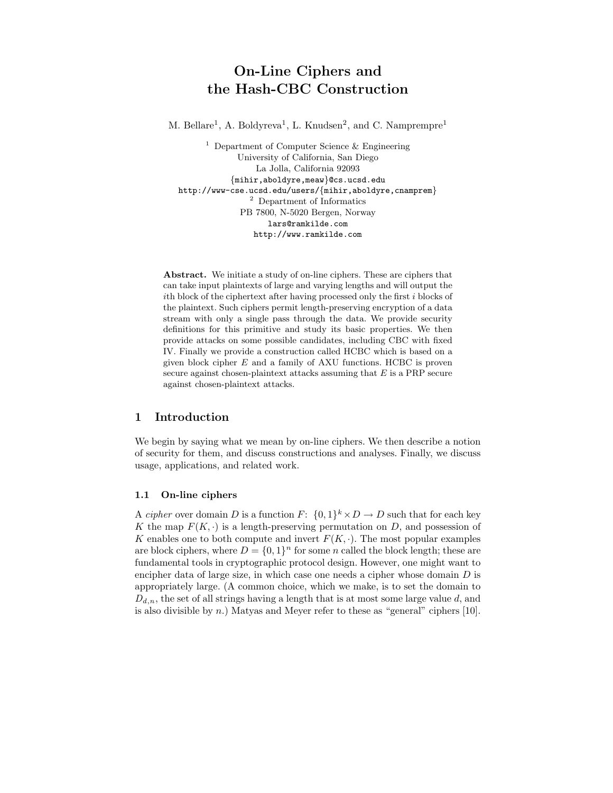# On-Line Ciphers and the Hash-CBC Construction

M. Bellare<sup>1</sup>, A. Boldyreva<sup>1</sup>, L. Knudsen<sup>2</sup>, and C. Namprempre<sup>1</sup>

<sup>1</sup> Department of Computer Science  $\&$  Engineering University of California, San Diego La Jolla, California 92093 {mihir,aboldyre,meaw}@cs.ucsd.edu http://www-cse.ucsd.edu/users/{mihir,aboldyre,cnamprem} <sup>2</sup> Department of Informatics PB 7800, N-5020 Bergen, Norway lars@ramkilde.com http://www.ramkilde.com

Abstract. We initiate a study of on-line ciphers. These are ciphers that can take input plaintexts of large and varying lengths and will output the ith block of the ciphertext after having processed only the first i blocks of the plaintext. Such ciphers permit length-preserving encryption of a data stream with only a single pass through the data. We provide security definitions for this primitive and study its basic properties. We then provide attacks on some possible candidates, including CBC with fixed IV. Finally we provide a construction called HCBC which is based on a given block cipher  $E$  and a family of AXU functions. HCBC is proven secure against chosen-plaintext attacks assuming that  $E$  is a PRP secure against chosen-plaintext attacks.

# 1 Introduction

We begin by saying what we mean by on-line ciphers. We then describe a notion of security for them, and discuss constructions and analyses. Finally, we discuss usage, applications, and related work.

#### 1.1 On-line ciphers

A *cipher* over domain D is a function  $F: \{0,1\}^k \times D \to D$  such that for each key K the map  $F(K, \cdot)$  is a length-preserving permutation on D, and possession of K enables one to both compute and invert  $F(K, \cdot)$ . The most popular examples are block ciphers, where  $D = \{0, 1\}^n$  for some n called the block length; these are fundamental tools in cryptographic protocol design. However, one might want to encipher data of large size, in which case one needs a cipher whose domain  $D$  is appropriately large. (A common choice, which we make, is to set the domain to  $D_{d,n}$ , the set of all strings having a length that is at most some large value d, and is also divisible by n.) Matyas and Meyer refer to these as "general" ciphers  $[10]$ .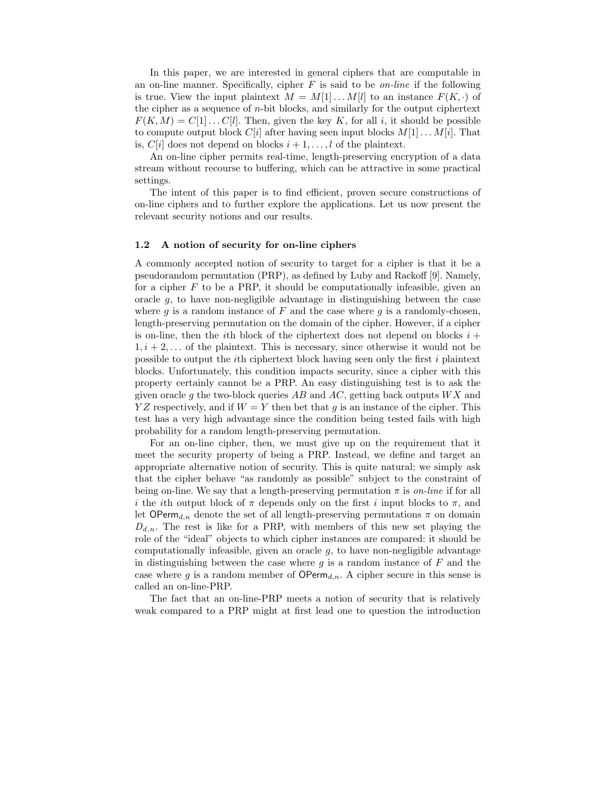In this paper, we are interested in general ciphers that are computable in an on-line manner. Specifically, cipher  $F$  is said to be *on-line* if the following is true. View the input plaintext  $M = M[1] \dots M[l]$  to an instance  $F(K, \cdot)$  of the cipher as a sequence of  $n$ -bit blocks, and similarly for the output ciphertext  $F(K, M) = C[1] \dots C[l]$ . Then, given the key K, for all i, it should be possible to compute output block  $C[i]$  after having seen input blocks  $M[1] \dots M[i]$ . That is,  $C[i]$  does not depend on blocks  $i+1,\ldots,l$  of the plaintext.

An on-line cipher permits real-time, length-preserving encryption of a data stream without recourse to buffering, which can be attractive in some practical settings.

The intent of this paper is to find efficient, proven secure constructions of on-line ciphers and to further explore the applications. Let us now present the relevant security notions and our results.

#### 1.2 A notion of security for on-line ciphers

A commonly accepted notion of security to target for a cipher is that it be a pseudorandom permutation (PRP), as defined by Luby and Rackoff [9]. Namely, for a cipher  $F$  to be a PRP, it should be computationally infeasible, given an oracle  $q$ , to have non-negligible advantage in distinguishing between the case where q is a random instance of F and the case where q is a randomly-chosen, length-preserving permutation on the domain of the cipher. However, if a cipher is on-line, then the *i*th block of the ciphertext does not depend on blocks  $i +$  $1, i + 2, \ldots$  of the plaintext. This is necessary, since otherwise it would not be possible to output the *i*th ciphertext block having seen only the first  $i$  plaintext blocks. Unfortunately, this condition impacts security, since a cipher with this property certainly cannot be a PRP. An easy distinguishing test is to ask the given oracle g the two-block queries  $AB$  and  $AC$ , getting back outputs  $WX$  and YZ respectively, and if  $W = Y$  then bet that g is an instance of the cipher. This test has a very high advantage since the condition being tested fails with high probability for a random length-preserving permutation.

For an on-line cipher, then, we must give up on the requirement that it meet the security property of being a PRP. Instead, we define and target an appropriate alternative notion of security. This is quite natural; we simply ask that the cipher behave "as randomly as possible" subject to the constraint of being on-line. We say that a length-preserving permutation  $\pi$  is *on-line* if for all i the ith output block of  $\pi$  depends only on the first i input blocks to  $\pi$ , and let OPerm<sub>d,n</sub> denote the set of all length-preserving permutations  $\pi$  on domain  $D_{d,n}$ . The rest is like for a PRP, with members of this new set playing the role of the "ideal" objects to which cipher instances are compared: it should be computationally infeasible, given an oracle  $g$ , to have non-negligible advantage in distinguishing between the case where  $g$  is a random instance of  $F$  and the case where g is a random member of  $\mathsf{OPerm}_{d,n}$ . A cipher secure in this sense is called an on-line-PRP.

The fact that an on-line-PRP meets a notion of security that is relatively weak compared to a PRP might at first lead one to question the introduction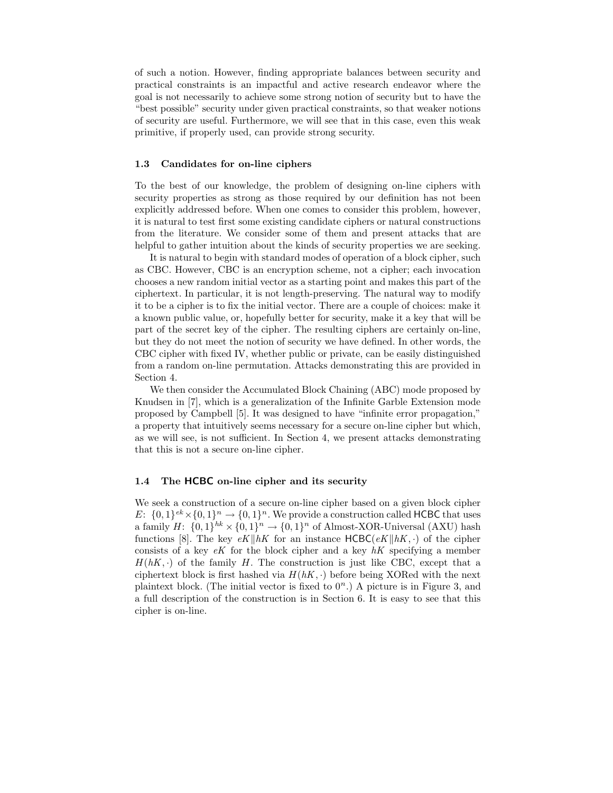of such a notion. However, finding appropriate balances between security and practical constraints is an impactful and active research endeavor where the goal is not necessarily to achieve some strong notion of security but to have the "best possible" security under given practical constraints, so that weaker notions of security are useful. Furthermore, we will see that in this case, even this weak primitive, if properly used, can provide strong security.

#### 1.3 Candidates for on-line ciphers

To the best of our knowledge, the problem of designing on-line ciphers with security properties as strong as those required by our definition has not been explicitly addressed before. When one comes to consider this problem, however, it is natural to test first some existing candidate ciphers or natural constructions from the literature. We consider some of them and present attacks that are helpful to gather intuition about the kinds of security properties we are seeking.

It is natural to begin with standard modes of operation of a block cipher, such as CBC. However, CBC is an encryption scheme, not a cipher; each invocation chooses a new random initial vector as a starting point and makes this part of the ciphertext. In particular, it is not length-preserving. The natural way to modify it to be a cipher is to fix the initial vector. There are a couple of choices: make it a known public value, or, hopefully better for security, make it a key that will be part of the secret key of the cipher. The resulting ciphers are certainly on-line, but they do not meet the notion of security we have defined. In other words, the CBC cipher with fixed IV, whether public or private, can be easily distinguished from a random on-line permutation. Attacks demonstrating this are provided in Section 4.

We then consider the Accumulated Block Chaining (ABC) mode proposed by Knudsen in [7], which is a generalization of the Infinite Garble Extension mode proposed by Campbell [5]. It was designed to have "infinite error propagation," a property that intuitively seems necessary for a secure on-line cipher but which, as we will see, is not sufficient. In Section 4, we present attacks demonstrating that this is not a secure on-line cipher.

#### 1.4 The HCBC on-line cipher and its security

We seek a construction of a secure on-line cipher based on a given block cipher E:  $\{0,1\}^{ek} \times \{0,1\}^{n} \rightarrow \{0,1\}^{n}$ . We provide a construction called HCBC that uses a family  $H: \{0,1\}^{hk} \times \{0,1\}^n \to \{0,1\}^n$  of Almost-XOR-Universal (AXU) hash functions [8]. The key  $eK||hK$  for an instance  $HCBC(eK||hK, \cdot)$  of the cipher consists of a key  $eK$  for the block cipher and a key  $hK$  specifying a member  $H(hK, \cdot)$  of the family H. The construction is just like CBC, except that a ciphertext block is first hashed via  $H(hK, \cdot)$  before being XORed with the next plaintext block. (The initial vector is fixed to  $0<sup>n</sup>$ .) A picture is in Figure 3, and a full description of the construction is in Section 6. It is easy to see that this cipher is on-line.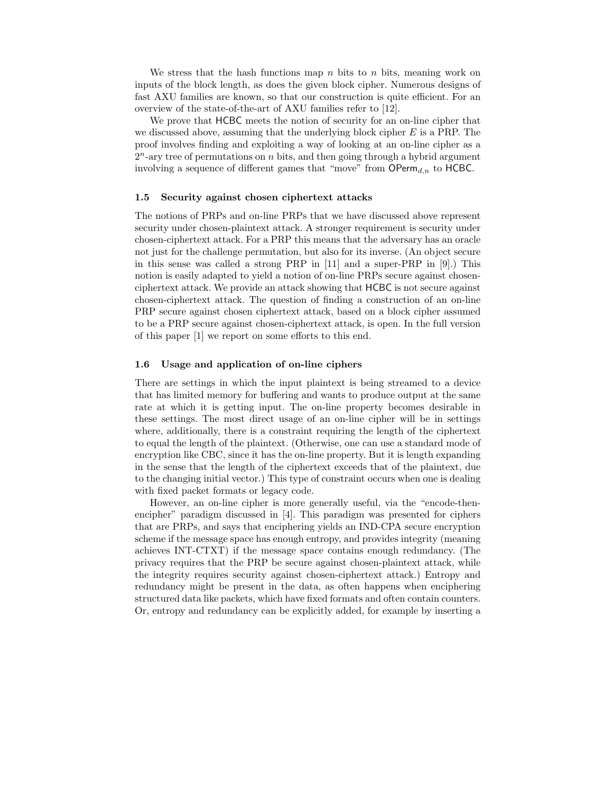We stress that the hash functions map  $n$  bits to  $n$  bits, meaning work on inputs of the block length, as does the given block cipher. Numerous designs of fast AXU families are known, so that our construction is quite efficient. For an overview of the state-of-the-art of AXU families refer to [12].

We prove that HCBC meets the notion of security for an on-line cipher that we discussed above, assuming that the underlying block cipher  $E$  is a PRP. The proof involves finding and exploiting a way of looking at an on-line cipher as a  $2^n$ -ary tree of permutations on n bits, and then going through a hybrid argument involving a sequence of different games that "move" from  $\mathsf{OPerm}_{d,n}$  to HCBC.

#### 1.5 Security against chosen ciphertext attacks

The notions of PRPs and on-line PRPs that we have discussed above represent security under chosen-plaintext attack. A stronger requirement is security under chosen-ciphertext attack. For a PRP this means that the adversary has an oracle not just for the challenge permutation, but also for its inverse. (An object secure in this sense was called a strong PRP in [11] and a super-PRP in [9].) This notion is easily adapted to yield a notion of on-line PRPs secure against chosenciphertext attack. We provide an attack showing that HCBC is not secure against chosen-ciphertext attack. The question of finding a construction of an on-line PRP secure against chosen ciphertext attack, based on a block cipher assumed to be a PRP secure against chosen-ciphertext attack, is open. In the full version of this paper [1] we report on some efforts to this end.

#### 1.6 Usage and application of on-line ciphers

There are settings in which the input plaintext is being streamed to a device that has limited memory for buffering and wants to produce output at the same rate at which it is getting input. The on-line property becomes desirable in these settings. The most direct usage of an on-line cipher will be in settings where, additionally, there is a constraint requiring the length of the ciphertext to equal the length of the plaintext. (Otherwise, one can use a standard mode of encryption like CBC, since it has the on-line property. But it is length expanding in the sense that the length of the ciphertext exceeds that of the plaintext, due to the changing initial vector.) This type of constraint occurs when one is dealing with fixed packet formats or legacy code.

However, an on-line cipher is more generally useful, via the "encode-thenencipher" paradigm discussed in [4]. This paradigm was presented for ciphers that are PRPs, and says that enciphering yields an IND-CPA secure encryption scheme if the message space has enough entropy, and provides integrity (meaning achieves INT-CTXT) if the message space contains enough redundancy. (The privacy requires that the PRP be secure against chosen-plaintext attack, while the integrity requires security against chosen-ciphertext attack.) Entropy and redundancy might be present in the data, as often happens when enciphering structured data like packets, which have fixed formats and often contain counters. Or, entropy and redundancy can be explicitly added, for example by inserting a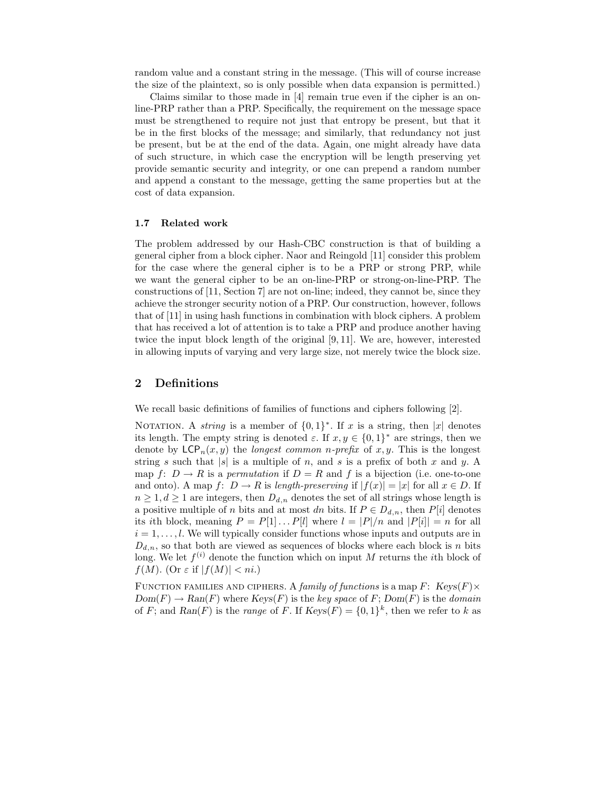random value and a constant string in the message. (This will of course increase the size of the plaintext, so is only possible when data expansion is permitted.)

Claims similar to those made in [4] remain true even if the cipher is an online-PRP rather than a PRP. Specifically, the requirement on the message space must be strengthened to require not just that entropy be present, but that it be in the first blocks of the message; and similarly, that redundancy not just be present, but be at the end of the data. Again, one might already have data of such structure, in which case the encryption will be length preserving yet provide semantic security and integrity, or one can prepend a random number and append a constant to the message, getting the same properties but at the cost of data expansion.

#### 1.7 Related work

The problem addressed by our Hash-CBC construction is that of building a general cipher from a block cipher. Naor and Reingold [11] consider this problem for the case where the general cipher is to be a PRP or strong PRP, while we want the general cipher to be an on-line-PRP or strong-on-line-PRP. The constructions of [11, Section 7] are not on-line; indeed, they cannot be, since they achieve the stronger security notion of a PRP. Our construction, however, follows that of [11] in using hash functions in combination with block ciphers. A problem that has received a lot of attention is to take a PRP and produce another having twice the input block length of the original [9, 11]. We are, however, interested in allowing inputs of varying and very large size, not merely twice the block size.

# 2 Definitions

We recall basic definitions of families of functions and ciphers following [2].

NOTATION. A *string* is a member of  $\{0,1\}^*$ . If x is a string, then |x| denotes its length. The empty string is denoted  $\varepsilon$ . If  $x, y \in \{0, 1\}^*$  are strings, then we denote by  $\mathsf{LCP}_n(x, y)$  the *longest common n-prefix* of x, y. This is the longest string s such that  $|s|$  is a multiple of n, and s is a prefix of both x and y. A map  $f: D \to R$  is a permutation if  $D = R$  and f is a bijection (i.e. one-to-one and onto). A map  $f: D \to R$  is length-preserving if  $|f(x)| = |x|$  for all  $x \in D$ . If  $n \geq 1, d \geq 1$  are integers, then  $D_{d,n}$  denotes the set of all strings whose length is a positive multiple of n bits and at most dn bits. If  $P \in D_{d,n}$ , then  $P[i]$  denotes its ith block, meaning  $P = P[1] \dots P[l]$  where  $l = |P|/n$  and  $|P[i]| = n$  for all  $i = 1, \ldots, l$ . We will typically consider functions whose inputs and outputs are in  $D_{d,n}$ , so that both are viewed as sequences of blocks where each block is n bits long. We let  $f^{(i)}$  denote the function which on input M returns the *i*th block of  $f(M)$ . (Or  $\varepsilon$  if  $|f(M)| < ni$ .)

FUNCTION FAMILIES AND CIPHERS. A family of functions is a map  $F: Kevs(F) \times$  $Dom(F) \rightarrow Ran(F)$  where  $Keys(F)$  is the key space of F;  $Dom(F)$  is the domain of F; and  $\text{Ran}(F)$  is the *range* of F. If  $\text{Keys}(F) = \{0,1\}^k$ , then we refer to k as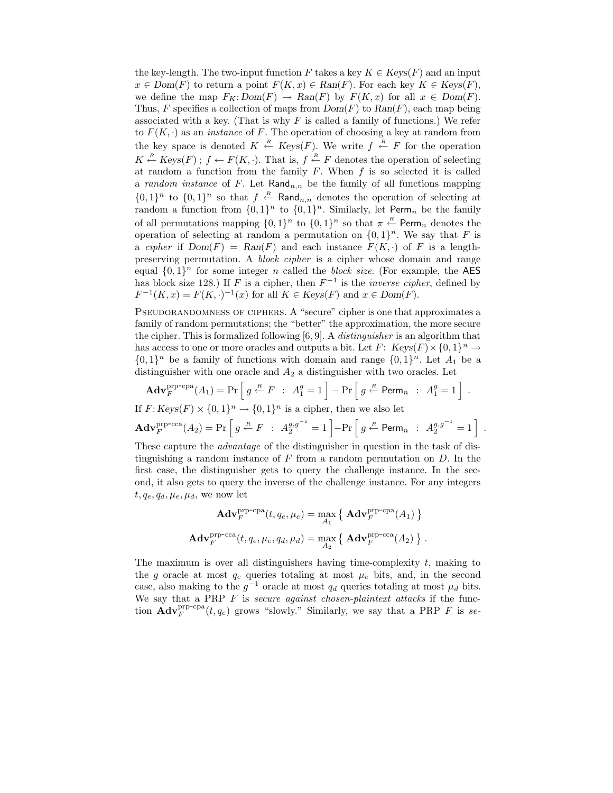the key-length. The two-input function F takes a key  $K \in \text{Kevs}(F)$  and an input  $x \in Dom(F)$  to return a point  $F(K, x) \in Ran(F)$ . For each key  $K \in Keys(F)$ , we define the map  $F_K: Dom(F) \to Ran(F)$  by  $F(K, x)$  for all  $x \in Dom(F)$ . Thus, F specifies a collection of maps from  $Dom(F)$  to  $Ran(F)$ , each map being associated with a key. (That is why  $F$  is called a family of functions.) We refer to  $F(K, \cdot)$  as an *instance* of F. The operation of choosing a key at random from the key space is denoted  $K \stackrel{R}{\leftarrow} Keys(F)$ . We write  $f \stackrel{R}{\leftarrow} F$  for the operation  $K \stackrel{R}{\leftarrow} \text{Keys}(F)$ ;  $f \leftarrow F(K, \cdot)$ . That is,  $f \stackrel{R}{\leftarrow} F$  denotes the operation of selecting at random a function from the family  $F$ . When  $f$  is so selected it is called a random instance of F. Let  $\text{Rand}_{n,n}$  be the family of all functions mapping  $\{0,1\}^n$  to  $\{0,1\}^n$  so that  $f \stackrel{R}{\leftarrow}$  Rand<sub>n,n</sub> denotes the operation of selecting at random a function from  $\{0,1\}^n$  to  $\{0,1\}^n$ . Similarly, let Perm<sub>n</sub> be the family of all permutations mapping  $\{0,1\}^n$  to  $\{0,1\}^n$  so that  $\pi \stackrel{R}{\leftarrow}$  Perm<sub>n</sub> denotes the operation of selecting at random a permutation on  $\{0,1\}^n$ . We say that F is a cipher if  $Dom(F) = Ran(F)$  and each instance  $F(K, \cdot)$  of F is a lengthpreserving permutation. A block cipher is a cipher whose domain and range equal  $\{0,1\}^n$  for some integer n called the *block size*. (For example, the AES has block size 128.) If F is a cipher, then  $F^{-1}$  is the *inverse cipher*, defined by  $F^{-1}(K, x) = F(K, \cdot)^{-1}(x)$  for all  $K \in \text{Keys}(F)$  and  $x \in \text{Dom}(F)$ .

PSEUDORANDOMNESS OF CIPHERS. A "secure" cipher is one that approximates a family of random permutations; the "better" the approximation, the more secure the cipher. This is formalized following  $[6, 9]$ . A *distinguisher* is an algorithm that has access to one or more oracles and outputs a bit. Let  $F: Keys(F) \times \{0,1\}^n \rightarrow$  ${0,1}<sup>n</sup>$  be a family of functions with domain and range  ${0,1}<sup>n</sup>$ . Let  $A<sub>1</sub>$  be a distinguisher with one oracle and  $A_2$  a distinguisher with two oracles. Let

 $\mathbf{Adv}_{F}^{\text{prp-cpa}}(A_1) = \Pr\left[\: g \stackrel{R}{\leftarrow} F \: : \: A_1^g = 1 \: \right] - \Pr\left[\: g \stackrel{R}{\leftarrow} \textsf{Perm}_n \: : \: A_1^g = 1 \: \right] \: .$ 

If  $F: \text{Keys}(F) \times \{0,1\}^n \to \{0,1\}^n$  is a cipher, then we also let

$$
\mathbf{Adv}_{F}^{\text{prp-cca}}(A_2) = \Pr\left[\ g \stackrel{R}{\leftarrow} F \ : \ A_2^{g,g^{-1}} = 1 \right] - \Pr\left[\ g \stackrel{R}{\leftarrow} \text{Perm}_n \ : \ A_2^{g,g^{-1}} = 1 \right] \ .
$$

These capture the advantage of the distinguisher in question in the task of distinguishing a random instance of  $F$  from a random permutation on  $D$ . In the first case, the distinguisher gets to query the challenge instance. In the second, it also gets to query the inverse of the challenge instance. For any integers  $t, q_e, q_d, \mu_e, \mu_d$ , we now let

$$
\mathbf{Adv}_{F}^{\text{prp-cpa}}(t, q_e, \mu_e) = \max_{A_1} \left\{ \mathbf{Adv}_{F}^{\text{prp-cpa}}(A_1) \right\}
$$

$$
\mathbf{Adv}_{F}^{\text{prp-cca}}(t, q_e, \mu_e, q_d, \mu_d) = \max_{A_2} \left\{ \mathbf{Adv}_{F}^{\text{prp-cca}}(A_2) \right\}.
$$

The maximum is over all distinguishers having time-complexity  $t$ , making to the g oracle at most  $q_e$  queries totaling at most  $\mu_e$  bits, and, in the second case, also making to the  $g^{-1}$  oracle at most  $q_d$  queries totaling at most  $\mu_d$  bits. We say that a PRP  $F$  is secure against chosen-plaintext attacks if the function  $\mathbf{Adv}_{F}^{\text{prp-cpa}}(t, q_e)$  grows "slowly." Similarly, we say that a PRP F is se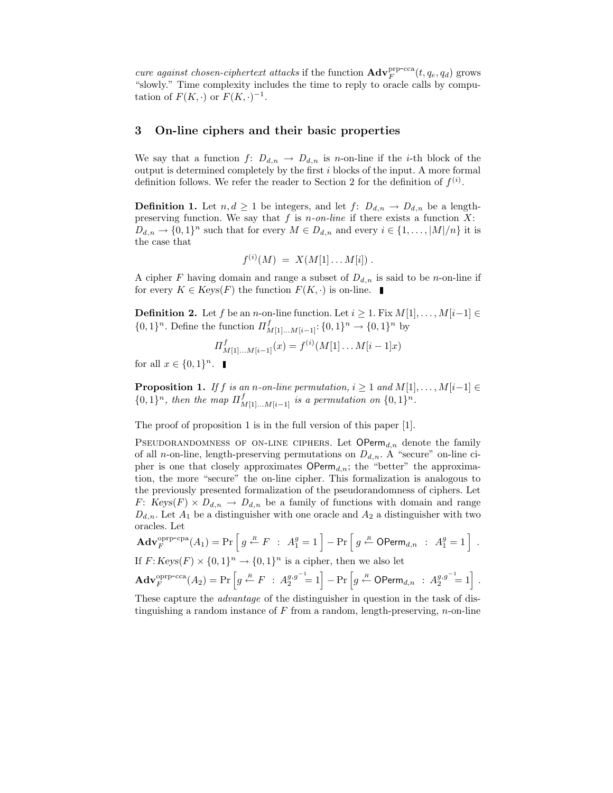cure against chosen-ciphertext attacks if the function  $\mathbf{Adv}_{F}^{\text{pp-cca}}(t, q_e, q_d)$  grows "slowly." Time complexity includes the time to reply to oracle calls by computation of  $F(K, \cdot)$  or  $F(K, \cdot)^{-1}$ .

## 3 On-line ciphers and their basic properties

We say that a function  $f: D_{d,n} \to D_{d,n}$  is *n*-on-line if the *i*-th block of the output is determined completely by the first i blocks of the input. A more formal definition follows. We refer the reader to Section 2 for the definition of  $f^{(i)}$ .

**Definition 1.** Let  $n, d \ge 1$  be integers, and let  $f: D_{d,n} \to D_{d,n}$  be a lengthpreserving function. We say that f is  $n\text{-}on\text{-}line$  if there exists a function X:  $D_{d,n} \to \{0,1\}^n$  such that for every  $M \in D_{d,n}$  and every  $i \in \{1,\ldots,|M|/n\}$  it is the case that

$$
f^{(i)}(M) = X(M[1] \dots M[i]) .
$$

A cipher F having domain and range a subset of  $D_{d,n}$  is said to be *n*-on-line if for every  $K \in \text{Keys}(F)$  the function  $F(K, \cdot)$  is on-line.

**Definition 2.** Let f be an n-on-line function. Let  $i \geq 1$ . Fix  $M[1], \ldots, M[i-1] \in$  $\{0,1\}^n$ . Define the function  $\Pi_{M[1]...M[i-1]}^f$ :  $\{0,1\}^n \to \{0,1\}^n$  by

$$
\Pi_{M[1]\dots M[i-1]}^{f}(x) = f^{(i)}(M[1]\dots M[i-1]x)
$$

for all  $x \in \{0,1\}^n$ .

**Proposition 1.** If f is an n-on-line permutation,  $i \geq 1$  and  $M[1], \ldots, M[i-1] \in$  ${0,1}<sup>n</sup>$ , then the map  $\prod_{M[1]\dots M[i-1]}^{f}$  is a permutation on  ${0,1}<sup>n</sup>$ .

The proof of proposition 1 is in the full version of this paper [1].

PSEUDORANDOMNESS OF ON-LINE CIPHERS. Let  $\mathsf{OPerm}_{d,n}$  denote the family of all *n*-on-line, length-preserving permutations on  $D_{d,n}$ . A "secure" on-line cipher is one that closely approximates  $\mathsf{OPerm}_{d,n}$ ; the "better" the approximation, the more "secure" the on-line cipher. This formalization is analogous to the previously presented formalization of the pseudorandomness of ciphers. Let F: Keys(F)  $\times D_{d,n} \rightarrow D_{d,n}$  be a family of functions with domain and range  $D_{d,n}$ . Let  $A_1$  be a distinguisher with one oracle and  $A_2$  a distinguisher with two oracles. Let

$$
\mathbf{Adv}_{F}^{\text{oprpcpa}}(A_1) = \Pr\left[\,g \stackrel{R}{\leftarrow} F \;:\; A_1^g = 1\,\right] - \Pr\left[\,g \stackrel{R}{\leftarrow} \mathsf{OPerm}_{d,n} \;:\; A_1^g = 1\,\right] \;.
$$

If  $F: \text{Keys}(F) \times \{0,1\}^n \to \{0,1\}^n$  is a cipher, then we also let

$$
\mathbf{Adv}_{F}^{\text{opp-cca}}(A_2) = \Pr\left[g \stackrel{R}{\leftarrow} F \ : \ A_2^{g,g^{-1}} = 1\right] - \Pr\left[g \stackrel{R}{\leftarrow} \text{OPerm}_{d,n} \ : \ A_2^{g,g^{-1}} = 1\right].
$$

These capture the *advantage* of the distinguisher in question in the task of distinguishing a random instance of  $F$  from a random, length-preserving, *n*-on-line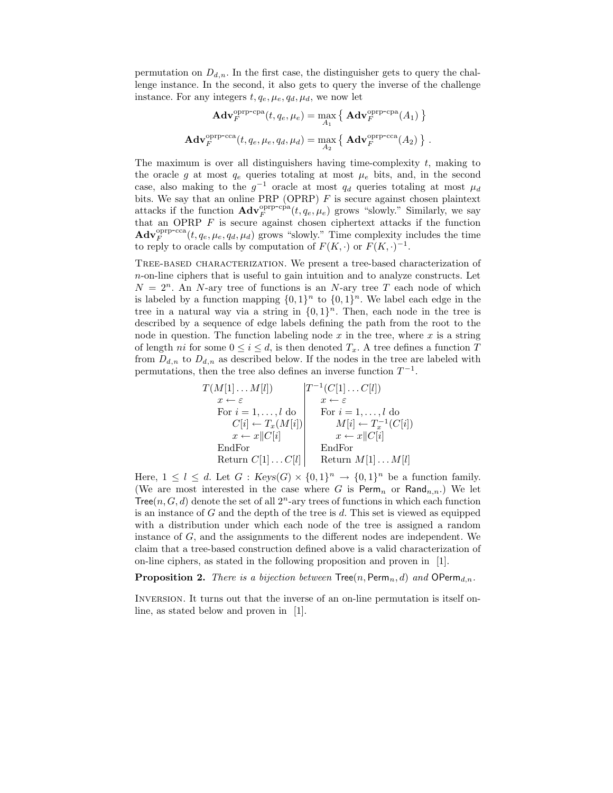permutation on  $D_{d,n}$ . In the first case, the distinguisher gets to query the challenge instance. In the second, it also gets to query the inverse of the challenge instance. For any integers  $t, q_e, \mu_e, q_d, \mu_d$ , we now let

$$
\mathbf{Adv}_{F}^{\text{oprp-cpa}}(t, q_e, \mu_e) = \max_{A_1} \left\{ \mathbf{Adv}_{F}^{\text{oprp-cpa}}(A_1) \right\}
$$

$$
\mathbf{Adv}_{F}^{\text{oprp-cca}}(t, q_e, \mu_e, q_d, \mu_d) = \max_{A_2} \left\{ \mathbf{Adv}_{F}^{\text{oprp-cca}}(A_2) \right\}.
$$

The maximum is over all distinguishers having time-complexity  $t$ , making to the oracle g at most  $q_e$  queries totaling at most  $\mu_e$  bits, and, in the second case, also making to the  $g^{-1}$  oracle at most  $q_d$  queries totaling at most  $\mu_d$ bits. We say that an online PRP (OPRP)  $F$  is secure against chosen plaintext attacks if the function  $\mathbf{Adv}_{F}^{\text{opp-pra}}(t, q_e, \mu_e)$  grows "slowly." Similarly, we say that an OPRP  $F$  is secure against chosen ciphertext attacks if the function  $\mathbf{Adv}_{F}^{\text{opp--}}(\ell, q_e, \mu_e, q_d, \mu_d)$  grows "slowly." Time complexity includes the time to reply to oracle calls by computation of  $F(K, \cdot)$  or  $F(K, \cdot)^{-1}$ .

Tree-based characterization. We present a tree-based characterization of n-on-line ciphers that is useful to gain intuition and to analyze constructs. Let  $N = 2<sup>n</sup>$ . An N-ary tree of functions is an N-ary tree T each node of which is labeled by a function mapping  $\{0,1\}^n$  to  $\{0,1\}^n$ . We label each edge in the tree in a natural way via a string in  $\{0,1\}^n$ . Then, each node in the tree is described by a sequence of edge labels defining the path from the root to the node in question. The function labeling node  $x$  in the tree, where  $x$  is a string of length *ni* for some  $0 \le i \le d$ , is then denoted  $T_x$ . A tree defines a function T from  $D_{d,n}$  to  $D_{d,n}$  as described below. If the nodes in the tree are labeled with permutations, then the tree also defines an inverse function  $T^{-1}$ .

$$
T(M[1]...M[l])
$$
\n
$$
x \leftarrow \varepsilon
$$
\nFor  $i = 1, ..., l$  do\n
$$
C[i] \leftarrow T_x(M[i])
$$
\nFor  $i = 1, ..., l$  do\n
$$
T^{-1}(C[1]...C[l])
$$
\nFor  $i = 1, ..., l$  do\n
$$
M[i] \leftarrow T_x^{-1}(C[i])
$$
\n
$$
x \leftarrow x || C[i]
$$
\n
$$
x \leftarrow x || C[i]
$$
\n
$$
x \leftarrow x || C[i]
$$
\n
$$
T_x^{-1}(C[i])
$$
\n
$$
T_x^{-1}(C[i])
$$
\n
$$
T_x^{-1}(C[i])
$$
\n
$$
T_x^{-1}(C[i])
$$
\n
$$
T_x^{-1}(C[i])
$$
\n
$$
T_x^{-1}(C[i])
$$
\n
$$
T_x^{-1}(C[i])
$$
\n
$$
T_x^{-1}(C[i])
$$
\n
$$
T_x^{-1}(C[i])
$$
\n
$$
T_x^{-1}(C[i])
$$
\n
$$
T_x^{-1}(C[i])
$$
\n
$$
T_x^{-1}(C[i])
$$
\n
$$
T_x^{-1}(C[i])
$$
\n
$$
T_x^{-1}(C[i])
$$
\n
$$
T_x^{-1}(C[i])
$$
\n
$$
T_x^{-1}(C[i])
$$
\n
$$
T_x^{-1}(C[i])
$$
\n
$$
T_x^{-1}(C[i])
$$
\n
$$
T_x^{-1}(C[i])
$$
\n
$$
T_x^{-1}(C[i])
$$
\n
$$
T_x^{-1}(C[i])
$$
\n
$$
T_x^{-1}(C[i])
$$
\n
$$
T_x^{-1}(C[i])
$$
\n
$$
T_x^{-1}(C[i])
$$
\n
$$
T_x^{-1}(C[i])
$$
\n
$$
T_x^{-1}(C[i])
$$
\n
$$
T_x^{-1}(C[i])
$$
\n
$$
T_x^{-1}(C[i])
$$
\n
$$
T_x^{-1}(C[i])
$$
\n
$$
T_x^{-1}(C[i])
$$
\n
$$
T_x^{-1}(C[i])
$$
\n<math display="</math>

Here,  $1 \leq l \leq d$ . Let  $G : K\ellys(G) \times \{0,1\}^n \to \{0,1\}^n$  be a function family. (We are most interested in the case where G is  $\text{Perm}_n$  or  $\text{Rand}_{n,n}$ .) We let Tree $(n, G, d)$  denote the set of all  $2^n$ -ary trees of functions in which each function is an instance of  $G$  and the depth of the tree is  $d$ . This set is viewed as equipped with a distribution under which each node of the tree is assigned a random instance of G, and the assignments to the different nodes are independent. We claim that a tree-based construction defined above is a valid characterization of on-line ciphers, as stated in the following proposition and proven in [1].

**Proposition 2.** There is a bijection between  $\mathsf{Tree}(n, \mathsf{Perm}_n, d)$  and  $\mathsf{OPT}_{d,n}$ .

Inversion. It turns out that the inverse of an on-line permutation is itself online, as stated below and proven in [1].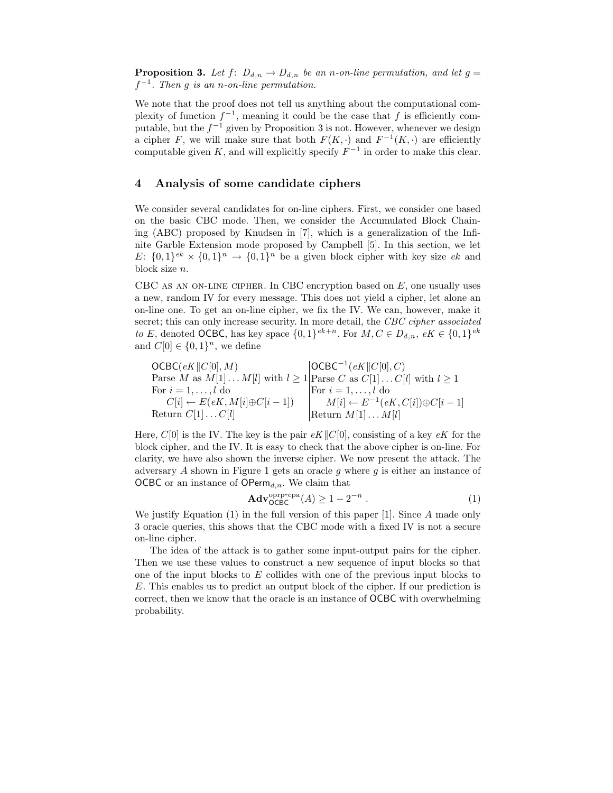**Proposition 3.** Let  $f: D_{d,n} \to D_{d,n}$  be an n-on-line permutation, and let  $g =$  $f^{-1}$ . Then g is an n-on-line permutation.

We note that the proof does not tell us anything about the computational complexity of function  $f^{-1}$ , meaning it could be the case that f is efficiently computable, but the  $f^{-1}$  given by Proposition 3 is not. However, whenever we design a cipher F, we will make sure that both  $F(K, \cdot)$  and  $F^{-1}(K, \cdot)$  are efficiently computable given K, and will explicitly specify  $F^{-1}$  in order to make this clear.

# 4 Analysis of some candidate ciphers

We consider several candidates for on-line ciphers. First, we consider one based on the basic CBC mode. Then, we consider the Accumulated Block Chaining (ABC) proposed by Knudsen in [7], which is a generalization of the Infinite Garble Extension mode proposed by Campbell [5]. In this section, we let E:  $\{0,1\}^{ek} \times \{0,1\}^{n} \rightarrow \{0,1\}^{n}$  be a given block cipher with key size ek and block size n.

CBC AS AN ON-LINE CIPHER. In CBC encryption based on  $E$ , one usually uses a new, random IV for every message. This does not yield a cipher, let alone an on-line one. To get an on-line cipher, we fix the IV. We can, however, make it secret; this can only increase security. In more detail, the CBC cipher associated to E, denoted OCBC, has key space  $\{0,1\}^{ek+n}$ . For  $M, C \in D_{d,n}$ ,  $eK \in \{0,1\}^{ek}$ and  $C[0] \in \{0,1\}^n$ , we define

$$
OCBC(eK \parallel C[0], M)
$$
  
Parse  $M$  as  $M[1] \dots M[l]$  with  $l \ge 1$   
 For  $i = 1, ..., l$  do  
  $C[i] \leftarrow E(eK, M[i] \oplus C[i-1])$   
 Return  $C[1] \dots C[l]$   
 Return  $C[1] \dots C[l]$   
 Return  $M[1] \dots M[l]$ 

Here,  $C[0]$  is the IV. The key is the pair  $eK||C[0]$ , consisting of a key  $eK$  for the block cipher, and the IV. It is easy to check that the above cipher is on-line. For clarity, we have also shown the inverse cipher. We now present the attack. The adversary A shown in Figure 1 gets an oracle q where q is either an instance of OCBC or an instance of OPerm $_{d,n}$ . We claim that

$$
\mathbf{Adv}_{\mathbf{OCEC}}^{\text{opp-cpa}}(A) \ge 1 - 2^{-n} \tag{1}
$$

We justify Equation (1) in the full version of this paper [1]. Since A made only 3 oracle queries, this shows that the CBC mode with a fixed IV is not a secure on-line cipher.

The idea of the attack is to gather some input-output pairs for the cipher. Then we use these values to construct a new sequence of input blocks so that one of the input blocks to  $E$  collides with one of the previous input blocks to E. This enables us to predict an output block of the cipher. If our prediction is correct, then we know that the oracle is an instance of OCBC with overwhelming probability.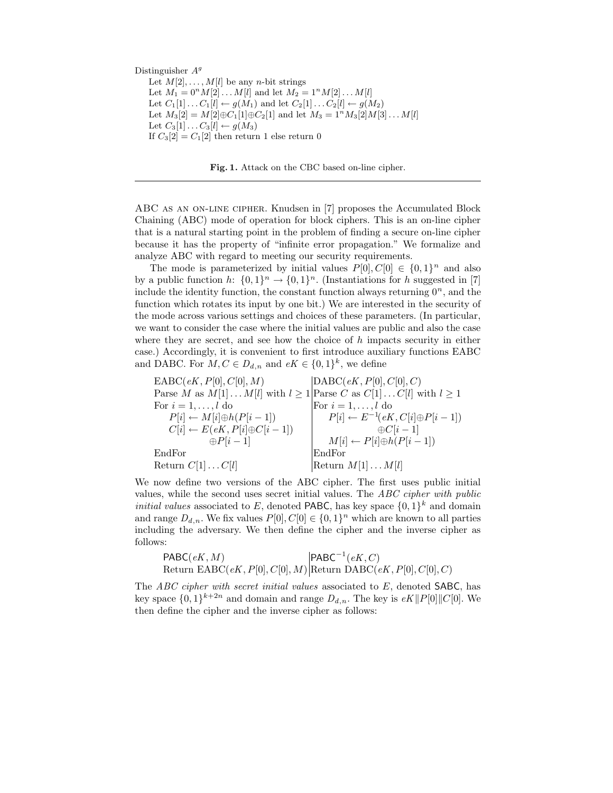Distinguisher  $A^g$ 

Let  $M[2], \ldots, M[l]$  be any *n*-bit strings Let  $M_1 = 0^n M[2] \dots M[l]$  and let  $M_2 = 1^n M[2] \dots M[l]$ Let  $C_1[1] \dots C_1[l] \leftarrow g(M_1)$  and let  $C_2[1] \dots C_2[l] \leftarrow g(M_2)$ Let  $M_3[2] = M[2] \oplus C_1[1] \oplus C_2[1]$  and let  $M_3 = 1^n M_3[2] M[3] \dots M[l]$ Let  $C_3[1] \ldots C_3[l] \leftarrow g(M_3)$ If  $C_3[2] = C_1[2]$  then return 1 else return 0

Fig. 1. Attack on the CBC based on-line cipher.

ABC as an on-line cipher. Knudsen in [7] proposes the Accumulated Block Chaining (ABC) mode of operation for block ciphers. This is an on-line cipher that is a natural starting point in the problem of finding a secure on-line cipher because it has the property of "infinite error propagation." We formalize and analyze ABC with regard to meeting our security requirements.

The mode is parameterized by initial values  $P[0], C[0] \in \{0,1\}^n$  and also by a public function h:  $\{0,1\}^n \rightarrow \{0,1\}^n$ . (Instantiations for h suggested in [7] include the identity function, the constant function always returning  $0^n$ , and the function which rotates its input by one bit.) We are interested in the security of the mode across various settings and choices of these parameters. (In particular, we want to consider the case where the initial values are public and also the case where they are secret, and see how the choice of  $h$  impacts security in either case.) Accordingly, it is convenient to first introduce auxiliary functions EABC and DABC. For  $M, C \in D_{d,n}$  and  $eK \in \{0,1\}^k$ , we define

$$
\begin{array}{ll}\n\text{EABC}(eK, P[0], C[0], M) \\
\text{Parse } M \text{ as } M[1] \dots M[l] \text{ with } l \ge 1 \\
\text{For } i = 1, \dots, l \text{ do} \\
P[i] \leftarrow M[i] \oplus h(P[i-1]) \\
C[i] \leftarrow E(eK, P[i] \oplus C[i-1]) \\
\oplus P[i-1] \\
\text{EndFor} \\
\text{Return } C[1] \dots C[l] \\
\end{array}\n\quad\n\begin{array}{ll}\n\text{DABC}(eK, P[0], C[0], C) \\
\text{Parse } C \text{ as } C[1] \dots C[l] \text{ with } l \ge 1 \\
\text{Parse } C \text{ as } C[1] \dots C[l] \text{ with } l \ge 1 \\
\text{For } i = 1, \dots, l \text{ do} \\
P[i] \leftarrow E^{-1}(eK, C[i] \oplus P[i-1]) \\
\oplus C[i-1] \\
\oplus C[i-1] \\
\text{EndFor} \\
\text{Return } M[1] \dots M[l]\n\end{array}
$$

We now define two versions of the ABC cipher. The first uses public initial values, while the second uses secret initial values. The ABC cipher with public *initial values* associated to E, denoted PABC, has key space  $\{0,1\}^k$  and domain and range  $D_{d,n}$ . We fix values  $P[0], C[0] \in \{0,1\}^n$  which are known to all parties including the adversary. We then define the cipher and the inverse cipher as follows:

$$
\begin{array}{ll}\n\textsf{PABC}(eK,M) & \textsf{PABC}^{-1}(eK,C) \\
\textsf{Return EABC}(eK,P[0],C[0],M) & \textsf{Return DABC}(eK,P[0],C[0],C)\n\end{array}
$$

The  $ABC$  cipher with secret initial values associated to  $E$ , denoted SABC, has key space  $\{0,1\}^{k+2n}$  and domain and range  $D_{d,n}$ . The key is  $eK||P[0]||C[0]$ . We then define the cipher and the inverse cipher as follows: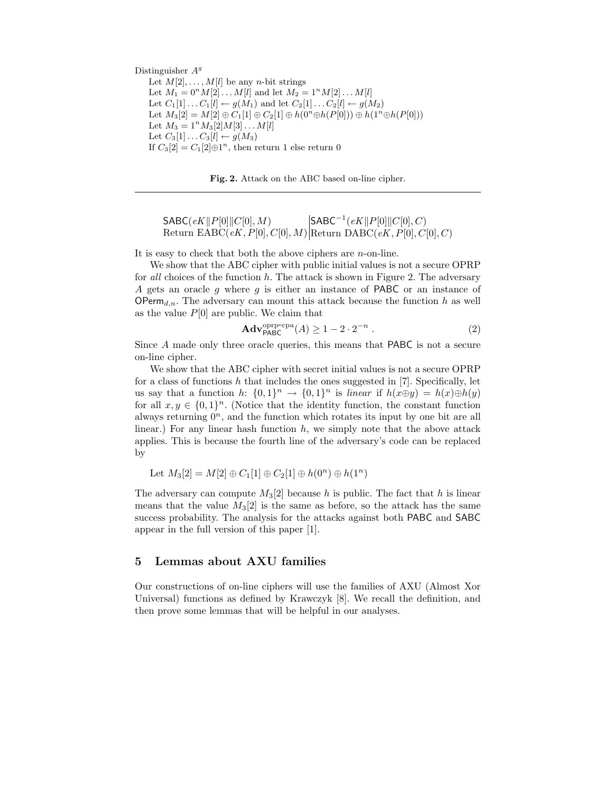Distinguisher  $A^g$ 

Let  $M[2], \ldots, M[l]$  be any *n*-bit strings Let  $M_1 = 0^n M[2] \dots M[l]$  and let  $M_2 = 1^n M[2] \dots M[l]$ Let  $C_1[1] \dots C_1[l] \leftarrow g(M_1)$  and let  $C_2[1] \dots C_2[l] \leftarrow g(M_2)$ Let  $M_3[2] = M[2] \oplus C_1[1] \oplus C_2[1] \oplus h(0^n \oplus h(P[0])) \oplus h(1^n \oplus h(P[0]))$ Let  $M_3 = 1^n M_3[2]M[3] \dots M[l]$ Let  $C_3[1] \ldots C_3[l] \leftarrow g(M_3)$ If  $C_3[2] = C_1[2] \oplus 1^n$ , then return 1 else return 0

Fig. 2. Attack on the ABC based on-line cipher.

 $SABC(eK||P[0]||C[0], M)$ Return  $EABC(eK, P[0], C[0], M)$  $\mathsf{SABC}^{-1}(eK\|P[0]\|C[0],C)$ Return  $\text{DABC}(eK, P[0], C[0], C)$ 

It is easy to check that both the above ciphers are n-on-line.

We show that the ABC cipher with public initial values is not a secure OPRP for all choices of the function  $h$ . The attack is shown in Figure 2. The adversary A gets an oracle g where g is either an instance of PABC or an instance of OPerm $_{d,n}$ . The adversary can mount this attack because the function h as well as the value  $P[0]$  are public. We claim that

$$
\mathbf{Adv}_{\mathsf{PABC}}^{\text{opp-cpa}}(A) \ge 1 - 2 \cdot 2^{-n} . \tag{2}
$$

Since A made only three oracle queries, this means that PABC is not a secure on-line cipher.

We show that the ABC cipher with secret initial values is not a secure OPRP for a class of functions h that includes the ones suggested in  $[7]$ . Specifically, let us say that a function  $h: \{0,1\}^n \to \{0,1\}^n$  is linear if  $h(x \oplus y) = h(x) \oplus h(y)$ for all  $x, y \in \{0, 1\}^n$ . (Notice that the identity function, the constant function always returning  $0^n$ , and the function which rotates its input by one bit are all linear.) For any linear hash function  $h$ , we simply note that the above attack applies. This is because the fourth line of the adversary's code can be replaced by

Let  $M_3[2] = M[2] \oplus C_1[1] \oplus C_2[1] \oplus h(0^n) \oplus h(1^n)$ 

The adversary can compute  $M_3[2]$  because h is public. The fact that h is linear means that the value  $M_3[2]$  is the same as before, so the attack has the same success probability. The analysis for the attacks against both PABC and SABC appear in the full version of this paper [1].

## 5 Lemmas about AXU families

Our constructions of on-line ciphers will use the families of AXU (Almost Xor Universal) functions as defined by Krawczyk [8]. We recall the definition, and then prove some lemmas that will be helpful in our analyses.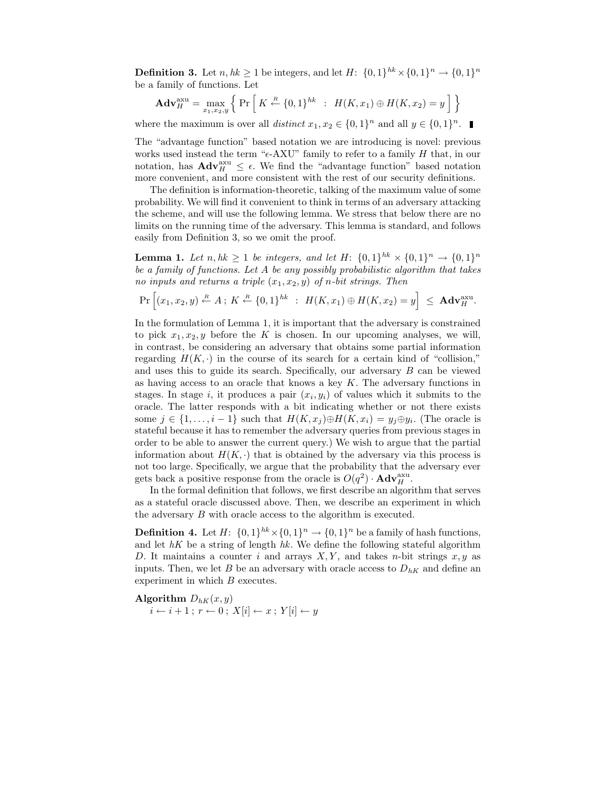**Definition 3.** Let  $n, hk \geq 1$  be integers, and let  $H: \{0, 1\}^{hk} \times \{0, 1\}^n \rightarrow \{0, 1\}^n$ be a family of functions. Let

$$
\mathbf{Adv}_{H}^{\text{axu}} = \max_{x_1, x_2, y} \left\{ \Pr \left[ K \stackrel{R}{\leftarrow} \{0, 1\}^{hk} : H(K, x_1) \oplus H(K, x_2) = y \right] \right\}
$$

where the maximum is over all *distinct*  $x_1, x_2 \in \{0, 1\}^n$  and all  $y \in \{0, 1\}^n$ .

The "advantage function" based notation we are introducing is novel: previous works used instead the term " $\epsilon$ -AXU" family to refer to a family H that, in our notation, has  $\mathbf{Adv}_{H}^{\text{axu}} \leq \epsilon$ . We find the "advantage function" based notation more convenient, and more consistent with the rest of our security definitions.

The definition is information-theoretic, talking of the maximum value of some probability. We will find it convenient to think in terms of an adversary attacking the scheme, and will use the following lemma. We stress that below there are no limits on the running time of the adversary. This lemma is standard, and follows easily from Definition 3, so we omit the proof.

**Lemma 1.** Let  $n, hk \geq 1$  be integers, and let  $H: \{0,1\}^{hk} \times \{0,1\}^n \to \{0,1\}^n$ be a family of functions. Let A be any possibly probabilistic algorithm that takes no inputs and returns a triple  $(x_1, x_2, y)$  of n-bit strings. Then

$$
\Pr\left[(x_1, x_2, y) \stackrel{R}{\leftarrow} A \, ; \, K \stackrel{R}{\leftarrow} \{0, 1\}^{hk} \; : \; H(K, x_1) \oplus H(K, x_2) = y\right] \leq \mathbf{Adv}_{H}^{\text{axu}}.
$$

In the formulation of Lemma 1, it is important that the adversary is constrained to pick  $x_1, x_2, y$  before the K is chosen. In our upcoming analyses, we will, in contrast, be considering an adversary that obtains some partial information regarding  $H(K, \cdot)$  in the course of its search for a certain kind of "collision," and uses this to guide its search. Specifically, our adversary B can be viewed as having access to an oracle that knows a key  $K$ . The adversary functions in stages. In stage i, it produces a pair  $(x_i, y_i)$  of values which it submits to the oracle. The latter responds with a bit indicating whether or not there exists some  $j \in \{1, \ldots, i-1\}$  such that  $H(K, x_j) \oplus H(K, x_i) = y_j \oplus y_i$ . (The oracle is stateful because it has to remember the adversary queries from previous stages in order to be able to answer the current query.) We wish to argue that the partial information about  $H(K, \cdot)$  that is obtained by the adversary via this process is not too large. Specifically, we argue that the probability that the adversary ever gets back a positive response from the oracle is  $O(q^2) \cdot \mathbf{Adv}_{H}^{\text{axu}}$ .

In the formal definition that follows, we first describe an algorithm that serves as a stateful oracle discussed above. Then, we describe an experiment in which the adversary B with oracle access to the algorithm is executed.

**Definition 4.** Let  $H: \{0,1\}^{hk} \times \{0,1\}^n \rightarrow \{0,1\}^n$  be a family of hash functions, and let  $hK$  be a string of length  $hk$ . We define the following stateful algorithm D. It maintains a counter i and arrays  $X, Y$ , and takes n-bit strings  $x, y$  as inputs. Then, we let B be an adversary with oracle access to  $D_{hK}$  and define an experiment in which B executes.

Algorithm  $D_{hK}(x, y)$  $\overrightarrow{i} \leftarrow i+1 : r \leftarrow 0 : X[i] \leftarrow x : Y[i] \leftarrow y$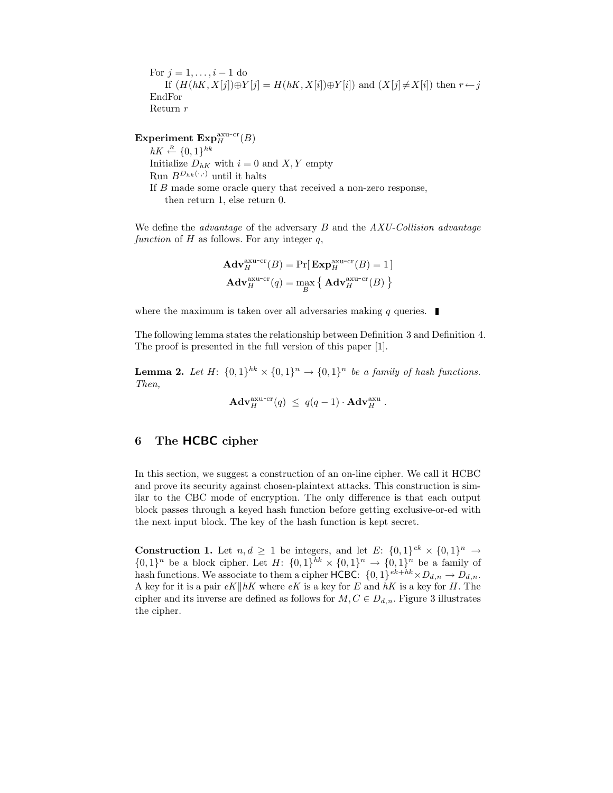For  $j = 1, \ldots, i - 1$  do If  $(H(hK, X[j])\oplus Y[j] = H(hK, X[i])\oplus Y[i])$  and  $(X[j] \neq X[i])$  then  $r \leftarrow j$ EndFor Return r

Experiment  $\mathrm{Exp}_{H}^{\mathrm{axu-cr}}(B)$ 

 $hK \stackrel{R}{\leftarrow} \{0,1\}^{hk}$ Initialize  $D_{hK}$  with  $i = 0$  and  $X, Y$  empty Run  $B^{D_{hk}(\cdot,\cdot)}$  until it halts If B made some oracle query that received a non-zero response, then return 1, else return 0.

We define the *advantage* of the adversary  $B$  and the  $AXU$ -Collision advantage function of  $H$  as follows. For any integer  $q$ ,

$$
\mathbf{Adv}_{H}^{\text{axu-cr}}(B) = \Pr[\mathbf{Exp}_{H}^{\text{axu-cr}}(B) = 1]
$$

$$
\mathbf{Adv}_{H}^{\text{axu-cr}}(q) = \max_{B} \left\{ \mathbf{Adv}_{H}^{\text{axu-cr}}(B) \right\}
$$

where the maximum is taken over all adversaries making q queries.  $\blacksquare$ 

The following lemma states the relationship between Definition 3 and Definition 4. The proof is presented in the full version of this paper [1].

**Lemma 2.** Let  $H: \{0,1\}^{hk} \times \{0,1\}^n \rightarrow \{0,1\}^n$  be a family of hash functions. Then,

$$
\mathbf{Adv}_{H}^{\text{axu-cr}}(q) \ \leq \ q(q-1) \cdot \mathbf{Adv}_{H}^{\text{axu}}.
$$

## 6 The HCBC cipher

In this section, we suggest a construction of an on-line cipher. We call it HCBC and prove its security against chosen-plaintext attacks. This construction is similar to the CBC mode of encryption. The only difference is that each output block passes through a keyed hash function before getting exclusive-or-ed with the next input block. The key of the hash function is kept secret.

**Construction 1.** Let  $n, d \ge 1$  be integers, and let E:  $\{0, 1\}^{ek} \times \{0, 1\}^{n} \rightarrow$  $\{0,1\}^n$  be a block cipher. Let  $H: \{0,1\}^{hk} \times \{0,1\}^n \rightarrow \{0,1\}^n$  be a family of hash functions. We associate to them a cipher  $\textsf{HCBC}: \{0,1\}^{ek+hk} \times D_{d,n} \to D_{d,n}$ . A key for it is a pair  $eK||\hbar K$  where  $eK$  is a key for E and  $\hbar K$  is a key for H. The cipher and its inverse are defined as follows for  $M, C \in D_{d,n}$ . Figure 3 illustrates the cipher.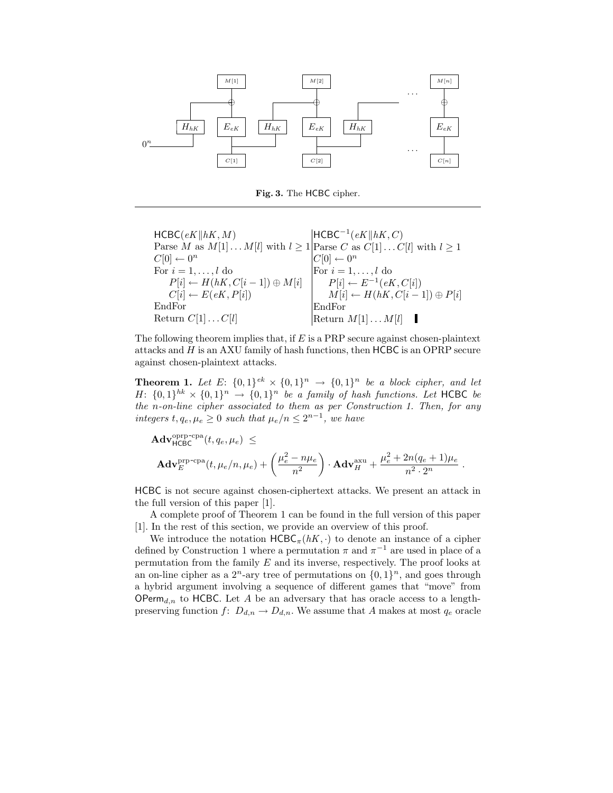

Fig. 3. The HCBC cipher.

 $HCBC(eK|| hK, M)$ Parse M as  $M[1] \dots M[l]$  with  $l \geq 1$  Parse C as  $C[1] \dots C[l]$  with  $l \geq 1$  $C[0] \leftarrow 0^n$ For  $i = 1, \ldots, l$  do  $P[i] \leftarrow H(hK, C[i-1]) \oplus M[i]$  $C[i] \leftarrow E(eK, P[i])$ EndFor Return  $C[1] \dots C[l]$  $HCBC^{-1}(eK|| hK, C)$  $C[0] \leftarrow 0^n$ For  $i = 1, \ldots, l$  do  $P[i] \leftarrow E^{-1}(eK, C[i])$  $M[i] \leftarrow H(hK, C[i-1]) \oplus P[i]$ EndFor Return  $M[1] \ldots M[l]$ 

The following theorem implies that, if  $E$  is a PRP secure against chosen-plaintext attacks and  $H$  is an AXU family of hash functions, then  $HCBC$  is an OPRP secure against chosen-plaintext attacks.

**Theorem 1.** Let E:  $\{0,1\}^{ek} \times \{0,1\}^{n} \rightarrow \{0,1\}^{n}$  be a block cipher, and let H:  $\{0,1\}^{hk} \times \{0,1\}^n \rightarrow \{0,1\}^n$  be a family of hash functions. Let HCBC be the n-on-line cipher associated to them as per Construction 1. Then, for any integers  $t, q_e, \mu_e \geq 0$  such that  $\mu_e/n \leq 2^{n-1}$ , we have

$$
\begin{aligned} &\mathbf{Adv}_{\mathsf{HCBC}}^{\text{opp-cpa}}(t,q_e,\mu_e)\;\leq\\ &\mathbf{Adv}_{E}^{\text{prp-cpa}}(t,\mu_e/n,\mu_e)+\left(\frac{\mu_e^2-n\mu_e}{n^2}\right)\cdot\mathbf{Adv}_{H}^{\text{axu}}+\frac{\mu_e^2+2n(q_e+1)\mu_e}{n^2\cdot 2^n}\\ \end{aligned}
$$

.

HCBC is not secure against chosen-ciphertext attacks. We present an attack in the full version of this paper [1].

A complete proof of Theorem 1 can be found in the full version of this paper [1]. In the rest of this section, we provide an overview of this proof.

We introduce the notation  $\text{HCBC}_{\pi}(hK, \cdot)$  to denote an instance of a cipher defined by Construction 1 where a permutation  $\pi$  and  $\pi^{-1}$  are used in place of a permutation from the family  $E$  and its inverse, respectively. The proof looks at an on-line cipher as a  $2^n$ -ary tree of permutations on  $\{0,1\}^n$ , and goes through a hybrid argument involving a sequence of different games that "move" from OPerm $_{d,n}$  to HCBC. Let A be an adversary that has oracle access to a lengthpreserving function  $f: D_{d,n} \to D_{d,n}$ . We assume that A makes at most  $q_e$  oracle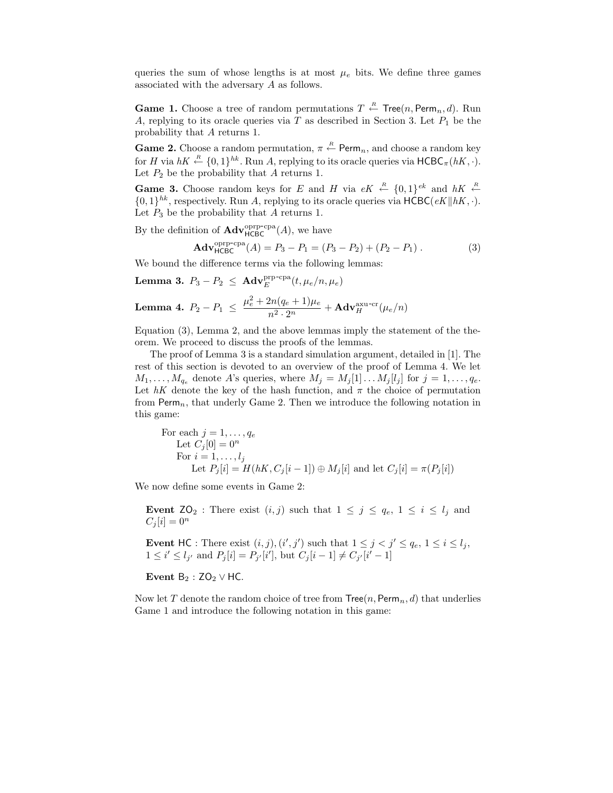queries the sum of whose lengths is at most  $\mu_e$  bits. We define three games associated with the adversary A as follows.

**Game 1.** Choose a tree of random permutations  $T \stackrel{R}{\leftarrow} \mathsf{Tree}(n, \mathsf{Perm}_n, d)$ . Run A, replying to its oracle queries via T as described in Section 3. Let  $P_1$  be the probability that A returns 1.

**Game 2.** Choose a random permutation,  $\pi \stackrel{R}{\leftarrow}$  Perm<sub>n</sub>, and choose a random key for H via  $hK \stackrel{R}{\leftarrow} \{0,1\}^{hk}$ . Run A, replying to its oracle queries via  $\mathsf{HCBC}_\pi(hK, \cdot)$ . Let  $P_2$  be the probability that  $A$  returns 1.

**Game 3.** Choose random keys for E and H via  $eK \stackrel{R}{\leftarrow} \{0,1\}^{ek}$  and  $hK \stackrel{R}{\leftarrow}$  ${0,1}^{hk}$ , respectively. Run A, replying to its oracle queries via  $\textsf{HCBC}(eK||hK, \cdot)$ . Let  $P_3$  be the probability that A returns 1.

By the definition of  $\mathbf{Adv}_{\mathsf{HCBC}}^{\text{opp-cpa}}(A)$ , we have

$$
Adv_{HCBC}^{opr-cpa}(A) = P_3 - P_1 = (P_3 - P_2) + (P_2 - P_1).
$$
 (3)

We bound the difference terms via the following lemmas:

**Lemma 3.** 
$$
P_3 - P_2 \leq \text{Adv}_{E}^{\text{prp-cpa}}(t, \mu_e/n, \mu_e)
$$

**Lemma 4.** 
$$
P_2 - P_1 \leq \frac{\mu_e^2 + 2n(q_e + 1)\mu_e}{n^2 \cdot 2^n} + \mathbf{Adv}_{H}^{\text{axu-cr}}(\mu_e/n)
$$

Equation (3), Lemma 2, and the above lemmas imply the statement of the theorem. We proceed to discuss the proofs of the lemmas.

The proof of Lemma 3 is a standard simulation argument, detailed in [1]. The rest of this section is devoted to an overview of the proof of Lemma 4. We let  $M_1, \ldots, M_{q_e}$  denote A's queries, where  $M_j = M_j[1] \ldots M_j[l_j]$  for  $j = 1, \ldots, q_e$ . Let  $hK$  denote the key of the hash function, and  $\pi$  the choice of permutation from  $\text{Perm}_n$ , that underly Game 2. Then we introduce the following notation in this game:

For each 
$$
j = 1, ..., q_e
$$
  
\nLet  $C_j[0] = 0^n$   
\nFor  $i = 1, ..., l_j$   
\nLet  $P_j[i] = H(hK, C_j[i-1]) \oplus M_j[i]$  and let  $C_j[i] = \pi(P_j[i])$ 

We now define some events in Game 2:

**Event ZO**<sub>2</sub>: There exist  $(i, j)$  such that  $1 \leq j \leq q_e, 1 \leq i \leq l_j$  and  $C_j[i] = 0^n$ 

**Event** HC : There exist  $(i, j), (i', j')$  such that  $1 \leq j < j' \leq q_e, 1 \leq i \leq l_j$ ,  $1 \leq i' \leq l_{j'}$  and  $P_j[i] = P_{j'}[i'],$  but  $C_j[i-1] \neq C_{j'}[i'-1]$ 

Event  $B_2$ : ZO<sub>2</sub>  $\vee$  HC.

Now let T denote the random choice of tree from  $\mathsf{Tree}(n, \mathsf{Perm}_n, d)$  that underlies Game 1 and introduce the following notation in this game: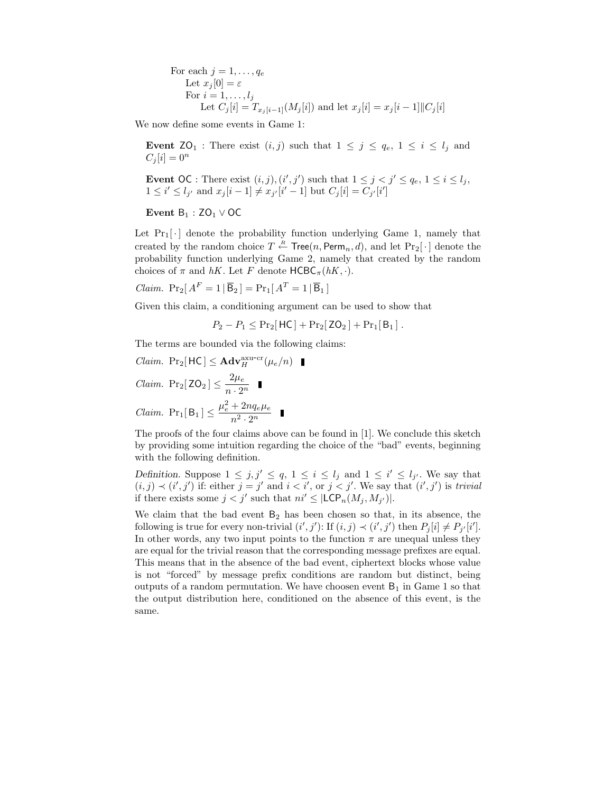For each 
$$
j = 1, \ldots, q_e
$$
\nLet  $x_j[0] = \varepsilon$ \nFor  $i = 1, \ldots, l_j$ \nLet  $C_j[i] = T_{x_j[i-1]}(M_j[i])$  and let  $x_j[i] = x_j[i-1] \| C_j[i]$ 

We now define some events in Game 1:

**Event ZO**<sub>1</sub>: There exist  $(i, j)$  such that  $1 \leq j \leq q_e, 1 \leq i \leq l_j$  and  $C_j[i] = 0^n$ 

**Event OC**: There exist  $(i, j), (i', j')$  such that  $1 \leq j < j' \leq q_e, 1 \leq i \leq l_j$ ,  $1 \leq i' \leq l_{j'}$  and  $x_j[i-1] \neq x_{j'}[i'-1]$  but  $C_j[i] = C_{j'}[i']$ 

Event  $B_1$  : ZO<sub>1</sub>  $\vee$  OC

Let  $Pr_1[\cdot]$  denote the probability function underlying Game 1, namely that created by the random choice  $T \stackrel{R}{\leftarrow}$  Tree $(n, \text{Perm}_n, d)$ , and let  $\text{Pr}_2[\cdot]$  denote the probability function underlying Game 2, namely that created by the random choices of  $\pi$  and  $hK$ . Let F denote  $\text{HCBC}_{\pi}(hK, \cdot)$ .

*Claim.*  $Pr_2[A^F = 1 | \overline{B}_2] = Pr_1[A^T = 1 | \overline{B}_1]$ 

Given this claim, a conditioning argument can be used to show that

 $P_2 - P_1 \leq Pr_2[HC] + Pr_2[ZO_2] + Pr_1[B_1].$ 

The terms are bounded via the following claims:

*Claim.* Pr<sub>2</sub>[
$$
HC
$$
]  $\leq$  **Adv**<sup>*axu-cr*</sup> $(\mu_e/n)$   
*Claim.* Pr<sub>2</sub>[ $ZO_2$ ]  $\leq \frac{2\mu_e}{n \cdot 2^n}$   $\blacksquare$   
*Claim.* Pr<sub>1</sub>[ $B_1$ ]  $\leq \frac{\mu_e^2 + 2nq_e\mu_e}{n^2 \cdot 2^n}$   $\blacksquare$ 

The proofs of the four claims above can be found in [1]. We conclude this sketch by providing some intuition regarding the choice of the "bad" events, beginning with the following definition.

Definition. Suppose  $1 \leq j, j' \leq q, 1 \leq i \leq l_j$  and  $1 \leq i' \leq l_{j'}$ . We say that  $(i, j) \prec (i', j')$  if: either  $j = j'$  and  $i < i'$ , or  $j < j'$ . We say that  $(i', j')$  is trivial if there exists some  $j < j'$  such that  $ni' \leq |\mathsf{LCP}_n(M_j, M_{j'})|$ .

We claim that the bad event  $B_2$  has been chosen so that, in its absence, the following is true for every non-trivial  $(i', j')$ : If  $(i, j) \prec (i', j')$  then  $P_j[i] \neq P_{j'}[i']$ . In other words, any two input points to the function  $\pi$  are unequal unless they are equal for the trivial reason that the corresponding message prefixes are equal. This means that in the absence of the bad event, ciphertext blocks whose value is not "forced" by message prefix conditions are random but distinct, being outputs of a random permutation. We have choosen event  $B_1$  in Game 1 so that the output distribution here, conditioned on the absence of this event, is the same.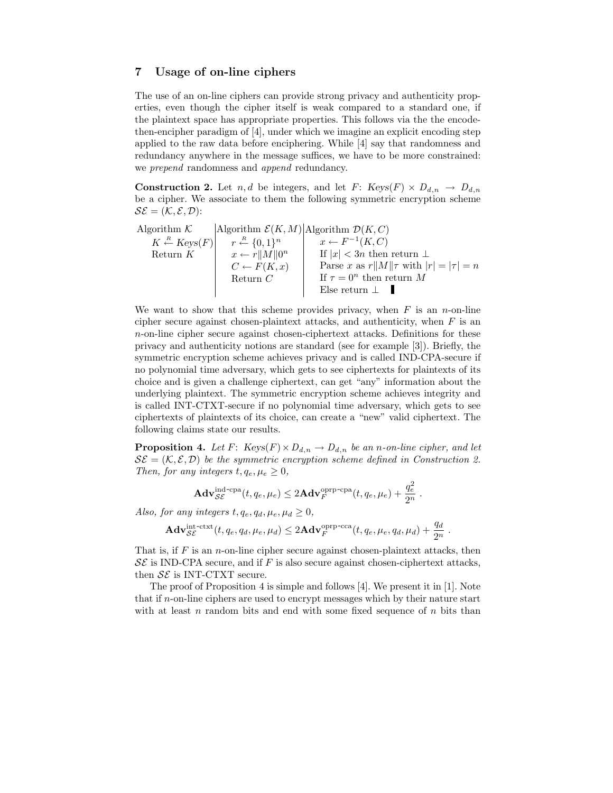## 7 Usage of on-line ciphers

The use of an on-line ciphers can provide strong privacy and authenticity properties, even though the cipher itself is weak compared to a standard one, if the plaintext space has appropriate properties. This follows via the the encodethen-encipher paradigm of [4], under which we imagine an explicit encoding step applied to the raw data before enciphering. While [4] say that randomness and redundancy anywhere in the message suffices, we have to be more constrained: we *prepend* randomness and *append* redundancy.

**Construction 2.** Let n, d be integers, and let F:  $K \text{eys}(F) \times D_{d,n} \to D_{d,n}$ be a cipher. We associate to them the following symmetric encryption scheme  $\mathcal{S}\mathcal{E} = (\mathcal{K}, \mathcal{E}, \mathcal{D})$ :

Algorithm  $K$  $K \stackrel{R}{\leftarrow} \text{Keys}(F)$ Return K Algorithm  $\mathcal{E}(K,M)$  Algorithm  $\mathcal{D}(K,C)$  $r \stackrel{R}{\leftarrow} \{0,1\}^n$  $x \leftarrow r||M||0^n$  $C \leftarrow F(K, x)$ Return C  $x \leftarrow F^{-1}(K, C)$ If  $|x| < 3n$  then return  $\perp$ Parse x as  $r||M||\tau$  with  $|r| = |\tau| = n$ If  $\tau = 0^n$  then return M Else return ⊥

We want to show that this scheme provides privacy, when  $F$  is an n-on-line cipher secure against chosen-plaintext attacks, and authenticity, when  $F$  is an n-on-line cipher secure against chosen-ciphertext attacks. Definitions for these privacy and authenticity notions are standard (see for example [3]). Briefly, the symmetric encryption scheme achieves privacy and is called IND-CPA-secure if no polynomial time adversary, which gets to see ciphertexts for plaintexts of its choice and is given a challenge ciphertext, can get "any" information about the underlying plaintext. The symmetric encryption scheme achieves integrity and is called INT-CTXT-secure if no polynomial time adversary, which gets to see ciphertexts of plaintexts of its choice, can create a "new" valid ciphertext. The following claims state our results.

**Proposition 4.** Let F: Keys $(F) \times D_{d,n} \to D_{d,n}$  be an n-on-line cipher, and let  $\mathcal{S}\mathcal{E} = (\mathcal{K}, \mathcal{E}, \mathcal{D})$  be the symmetric encryption scheme defined in Construction 2. Then, for any integers  $t, q_e, \mu_e \geq 0$ ,

$$
\mathbf{Adv}_{\mathcal{SE}}^{\text{ind-cpa}}(t, q_e, \mu_e) \leq 2\mathbf{Adv}_{F}^{\text{opp-p-cpa}}(t, q_e, \mu_e) + \frac{q_e^2}{2^n}.
$$

Also, for any integers  $t, q_e, q_d, \mu_e, \mu_d \geq 0$ ,

$$
\mathbf{Adv}_{\mathcal{SE}}^{\text{int-ctxt}}(t, q_e, q_d, \mu_e, \mu_d) \leq 2\mathbf{Adv}_{F}^{\text{oprp-cca}}(t, q_e, \mu_e, q_d, \mu_d) + \frac{q_d}{2^n}.
$$

That is, if  $F$  is an *n*-on-line cipher secure against chosen-plaintext attacks, then  $\mathcal{S}\mathcal{E}$  is IND-CPA secure, and if F is also secure against chosen-ciphertext attacks, then  $S\mathcal{E}$  is INT-CTXT secure.

The proof of Proposition 4 is simple and follows [4]. We present it in [1]. Note that if n-on-line ciphers are used to encrypt messages which by their nature start with at least n random bits and end with some fixed sequence of  $n$  bits than